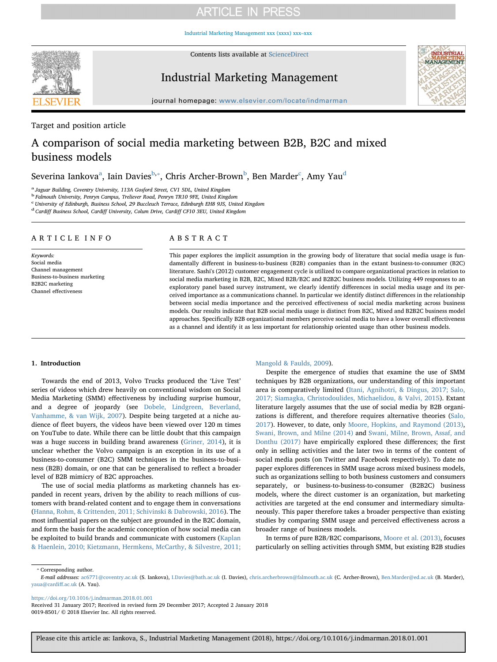# **ARTICLE IN PRESS**

[Industrial Marketing Management xxx \(xxxx\) xxx–xxx](https://doi.org/10.1016/j.indmarman.2018.01.001)



Contents lists available at [ScienceDirect](http://www.sciencedirect.com/science/journal/00198501)

# Industrial Marketing Management



journal homepage: [www.elsevier.com/locate/indmarman](https://www.elsevier.com/locate/indmarman)

Target and position article

# A comparison of social media marketing between B2B, B2C and mixed business models

Severin[a](#page-0-0) Iankova $^{\rm a}$ , Iain Davies $^{\rm b, *},$  $^{\rm b, *},$  $^{\rm b, *},$  Chris Ar[c](#page-0-3)her-Brown $^{\rm b}$  $^{\rm b}$  $^{\rm b}$ , Ben Mar[d](#page-0-4)er $^{\rm c}$ , Amy Yau $^{\rm d}$ 

<span id="page-0-0"></span><sup>a</sup> Jaguar Building, Coventry University, 113A Gosford Street, CV1 5DL, United Kingdom

<span id="page-0-1"></span><sup>b</sup> Falmouth University, Penryn Campus, Treliever Road, Penryn TR10 9FE, United Kingdom

<span id="page-0-3"></span><sup>c</sup> University of Edinburgh, Business School, 29 Buccleuch Terrace, Edinburgh EH8 9JS, United Kingdom

<span id="page-0-4"></span><sup>d</sup> Cardiff Business School, Cardiff University, Colum Drive, Cardiff CF10 3EU, United Kingdom

# ARTICLE INFO

Keywords: Social media Channel management Business-to-business marketing B2B2C marketing Channel effectiveness

# ABSTRACT

This paper explores the implicit assumption in the growing body of literature that social media usage is fundamentally different in business-to-business (B2B) companies than in the extant business-to-consumer (B2C) literature. Sashi's (2012) customer engagement cycle is utilized to compare organizational practices in relation to social media marketing in B2B, B2C, Mixed B2B/B2C and B2B2C business models. Utilizing 449 responses to an exploratory panel based survey instrument, we clearly identify differences in social media usage and its perceived importance as a communications channel. In particular we identify distinct differences in the relationship between social media importance and the perceived effectiveness of social media marketing across business models. Our results indicate that B2B social media usage is distinct from B2C, Mixed and B2B2C business model approaches. Specifically B2B organizational members perceive social media to have a lower overall effectiveness as a channel and identify it as less important for relationship oriented usage than other business models.

# 1. Introduction

Towards the end of 2013, Volvo Trucks produced the 'Live Test' series of videos which drew heavily on conventional wisdom on Social Media Marketing (SMM) effectiveness by including surprise humour, and a degree of jeopardy (see [Dobele, Lindgreen, Beverland,](#page-9-0) [Vanhamme, & van Wijk, 2007\)](#page-9-0). Despite being targeted at a niche audience of fleet buyers, the videos have been viewed over 120 m times on YouTube to date. While there can be little doubt that this campaign was a huge success in building brand awareness [\(Griner, 2014](#page-9-1)), it is unclear whether the Volvo campaign is an exception in its use of a business-to-consumer (B2C) SMM techniques in the business-to-business (B2B) domain, or one that can be generalised to reflect a broader level of B2B mimicry of B2C approaches.

The use of social media platforms as marketing channels has expanded in recent years, driven by the ability to reach millions of customers with brand-related content and to engage them in conversations ([Hanna, Rohm, & Crittenden, 2011; Schivinski & Dabrowski, 2016](#page-9-2)). The most influential papers on the subject are grounded in the B2C domain, and form the basis for the academic conception of how social media can be exploited to build brands and communicate with customers [\(Kaplan](#page-9-3) [& Haenlein, 2010; Kietzmann, Hermkens, McCarthy, & Silvestre, 2011;](#page-9-3)

### [Mangold & Faulds, 2009](#page-9-3)).

Despite the emergence of studies that examine the use of SMM techniques by B2B organizations, our understanding of this important area is comparatively limited [\(Itani, Agnihotri, & Dingus, 2017; Salo,](#page-9-4) [2017; Siamagka, Christodoulides, Michaelidou, & Valvi, 2015\)](#page-9-4). Extant literature largely assumes that the use of social media by B2B organizations is different, and therefore requires alternative theories ([Salo,](#page-10-0) [2017\)](#page-10-0). However, to date, only [Moore, Hopkins, and Raymond \(2013\)](#page-10-1), [Swani, Brown, and Milne \(2014\)](#page-10-2) and [Swani, Milne, Brown, Assaf, and](#page-10-3) [Donthu \(2017\)](#page-10-3) have empirically explored these differences; the first only in selling activities and the later two in terms of the content of social media posts (on Twitter and Facebook respectively). To date no paper explores differences in SMM usage across mixed business models, such as organizations selling to both business customers and consumers separately, or business-to-business-to-consumer (B2B2C) business models, where the direct customer is an organization, but marketing activities are targeted at the end consumer and intermediary simultaneously. This paper therefore takes a broader perspective than existing studies by comparing SMM usage and perceived effectiveness across a broader range of business models.

In terms of pure B2B/B2C comparisons, [Moore et al. \(2013\),](#page-10-1) focuses particularly on selling activities through SMM, but existing B2B studies

<span id="page-0-2"></span>⁎ Corresponding author.

E-mail addresses: [ac6771@coventry.ac.uk](mailto:ac6771@coventry.ac.uk) (S. Iankova), [I.Davies@bath.ac.uk](mailto:I.Davies@bath.ac.uk) (I. Davies), [chris.archerbrown@falmouth.ac.uk](mailto:chris.archerbrown@falmouth.ac.uk) (C. Archer-Brown), [Ben.Marder@ed.ac.uk](mailto:Ben.Marder@ed.ac.uk) (B. Marder), [yaua@cardi](mailto:yaua@cardiff.ac.uk)ff.ac.uk (A. Yau).

<https://doi.org/10.1016/j.indmarman.2018.01.001>

Received 31 January 2017; Received in revised form 29 December 2017; Accepted 2 January 2018 0019-8501/ © 2018 Elsevier Inc. All rights reserved.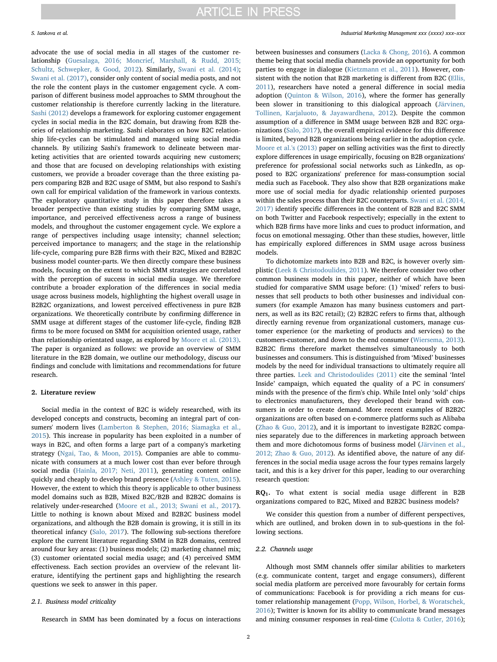advocate the use of social media in all stages of the customer relationship ([Guesalaga, 2016; Moncrief, Marshall, & Rudd, 2015;](#page-9-5) [Schultz, Schwepker, & Good, 2012\)](#page-9-5). Similarly, [Swani et al. \(2014\)](#page-10-2); [Swani et al. \(2017\)](#page-10-3), consider only content of social media posts, and not the role the content plays in the customer engagement cycle. A comparison of different business model approaches to SMM throughout the customer relationship is therefore currently lacking in the literature. [Sashi \(2012\)](#page-10-4) develops a framework for exploring customer engagement cycles in social media in the B2C domain, but drawing from B2B theories of relationship marketing. Sashi elaborates on how B2C relationship life-cycles can be stimulated and managed using social media channels. By utilizing Sashi's framework to delineate between marketing activities that are oriented towards acquiring new customers; and those that are focused on developing relationships with existing customers, we provide a broader coverage than the three existing papers comparing B2B and B2C usage of SMM, but also respond to Sashi's own call for empirical validation of the framework in various contexts. The exploratory quantitative study in this paper therefore takes a broader perspective than existing studies by comparing SMM usage, importance, and perceived effectiveness across a range of business models, and throughout the customer engagement cycle. We explore a range of perspectives including usage intensity; channel selection; perceived importance to managers; and the stage in the relationship life-cycle, comparing pure B2B firms with their B2C, Mixed and B2B2C business model counter-parts. We then directly compare these business models, focusing on the extent to which SMM strategies are correlated with the perception of success in social media usage. We therefore contribute a broader exploration of the differences in social media usage across business models, highlighting the highest overall usage in B2B2C organizations, and lowest perceived effectiveness in pure B2B organizations. We theoretically contribute by confirming difference in SMM usage at different stages of the customer life-cycle, finding B2B firms to be more focused on SMM for acquisition oriented usage, rather than relationship orientated usage, as explored by [Moore et al. \(2013\)](#page-10-1). The paper is organized as follows: we provide an overview of SMM literature in the B2B domain, we outline our methodology, discuss our findings and conclude with limitations and recommendations for future research.

### 2. Literature review

Social media in the context of B2C is widely researched, with its developed concepts and constructs, becoming an integral part of consumers' modern lives ([Lamberton & Stephen, 2016; Siamagka et al.,](#page-9-6) [2015\)](#page-9-6). This increase in popularity has been exploited in a number of ways in B2C, and often forms a large part of a company's marketing strategy [\(Ngai, Tao, & Moon, 2015\)](#page-10-5). Companies are able to communicate with consumers at a much lower cost than ever before through social media ([Hainla, 2017; Neti, 2011\)](#page-9-7), generating content online quickly and cheaply to develop brand presence [\(Ashley & Tuten, 2015](#page-9-8)). However, the extent to which this theory is applicable to other business model domains such as B2B, Mixed B2C/B2B and B2B2C domains is relatively under-researched ([Moore et al., 2013; Swani et al., 2017](#page-10-1)). Little to nothing is known about Mixed and B2B2C business model organizations, and although the B2B domain is growing, it is still in its theoretical infancy ([Salo, 2017](#page-10-0)). The following sub-sections therefore explore the current literature regarding SMM in B2B domains, centred around four key areas: (1) business models; (2) marketing channel mix; (3) customer orientated social media usage; and (4) perceived SMM effectiveness. Each section provides an overview of the relevant literature, identifying the pertinent gaps and highlighting the research questions we seek to answer in this paper.

### 2.1. Business model criticality

Research in SMM has been dominated by a focus on interactions

between businesses and consumers ([Lacka & Chong, 2016\)](#page-9-9). A common theme being that social media channels provide an opportunity for both parties to engage in dialogue [\(Kietzmann et al., 2011\)](#page-9-10). However, consistent with the notion that B2B marketing is different from B2C [\(Ellis,](#page-9-11) [2011\)](#page-9-11), researchers have noted a general difference in social media adoption [\(Quinton & Wilson, 2016\)](#page-10-6), where the former has generally been slower in transitioning to this dialogical approach ([Järvinen,](#page-9-12) [Tollinen, Karjaluoto, & Jayawardhena, 2012\)](#page-9-12). Despite the common assumption of a difference in SMM usage between B2B and B2C organizations [\(Salo, 2017\)](#page-10-0), the overall empirical evidence for this difference is limited, beyond B2B organizations being earlier in the adoption cycle. [Moore et al.'s \(2013\)](#page-10-1) paper on selling activities was the first to directly explore differences in usage empirically, focusing on B2B organizations' preference for professional social networks such as LinkedIn, as opposed to B2C organizations' preference for mass-consumption social media such as Facebook. They also show that B2B organizations make more use of social media for dyadic relationship oriented purposes within the sales process than their B2C counterparts. [Swani et al. \(2014,](#page-10-2) [2017\)](#page-10-2) identify specific differences in the content of B2B and B2C SMM on both Twitter and Facebook respectively; especially in the extent to which B2B firms have more links and cues to product information, and focus on emotional messaging. Other than these studies, however, little has empirically explored differences in SMM usage across business models.

To dichotomize markets into B2B and B2C, is however overly simplistic ([Leek & Christodoulides, 2011\)](#page-9-13). We therefore consider two other common business models in this paper, neither of which have been studied for comparative SMM usage before: (1) 'mixed' refers to businesses that sell products to both other businesses and individual consumers (for example Amazon has many business customers and partners, as well as its B2C retail); (2) B2B2C refers to firms that, although directly earning revenue from organizational customers, manage customer experience (or the marketing of products and services) to the customers-customer, and down to the end consumer [\(Wiersema, 2013](#page-10-7)). B2B2C firms therefore market themselves simultaneously to both businesses and consumers. This is distinguished from 'Mixed' businesses models by the need for individual transactions to ultimately require all three parties. [Leek and Christodoulides \(2011\)](#page-9-13) cite the seminal 'Intel Inside' campaign, which equated the quality of a PC in consumers' minds with the presence of the firm's chip. While Intel only 'sold' chips to electronics manufacturers, they developed their brand with consumers in order to create demand. More recent examples of B2B2C organizations are often based on e-commerce platforms such as Alibaba ([Zhao & Guo, 2012\)](#page-10-8), and it is important to investigate B2B2C companies separately due to the differences in marketing approach between them and more dichotomous forms of business model [\(Järvinen et al.,](#page-9-12) [2012; Zhao & Guo, 2012\)](#page-9-12). As identified above, the nature of any differences in the social media usage across the four types remains largely tacit, and this is a key driver for this paper, leading to our overarching research question:

RQ1. To what extent is social media usage different in B2B organizations compared to B2C, Mixed and B2B2C business models?

We consider this question from a number of different perspectives, which are outlined, and broken down in to sub-questions in the following sections.

# 2.2. Channels usage

Although most SMM channels offer similar abilities to marketers (e.g. communicate content, target and engage consumers), different social media platform are perceived more favourably for certain forms of communications: Facebook is for providing a rich means for customer relationship management ([Popp, Wilson, Horbel, & Woratschek,](#page-10-9) [2016\)](#page-10-9); Twitter is known for its ability to communicate brand messages and mining consumer responses in real-time ([Culotta & Cutler, 2016](#page-9-14));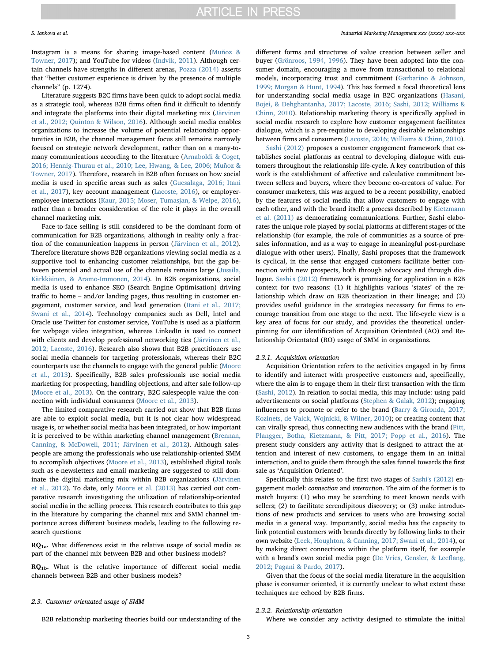Instagram is a means for sharing image-based content [\(Muñoz &](#page-10-10) [Towner, 2017](#page-10-10)); and YouTube for videos ([Indvik, 2011\)](#page-9-15). Although certain channels have strengths in different arenas, [Pozza \(2014\)](#page-10-11) asserts that "better customer experience is driven by the presence of multiple channels" (p. 1274).

Literature suggests B2C firms have been quick to adopt social media as a strategic tool, whereas B2B firms often find it difficult to identify and integrate the platforms into their digital marketing mix [\(Järvinen](#page-9-12) [et al., 2012; Quinton & Wilson, 2016](#page-9-12)). Although social media enables organizations to increase the volume of potential relationship opportunities in B2B, the channel management focus still remains narrowly focused on strategic network development, rather than on a many-tomany communications according to the literature [\(Arnaboldi & Coget,](#page-9-16) [2016; Hennig-Thurau et al., 2010; Lee, Hwang, & Lee, 2006; Muñoz &](#page-9-16) [Towner, 2017](#page-9-16)). Therefore, research in B2B often focuses on how social media is used in specific areas such as sales [\(Guesalaga, 2016; Itani](#page-9-5) [et al., 2017](#page-9-5)), key account management ([Lacoste, 2016](#page-9-17)), or employeremployee interactions [\(Kaur, 2015; Moser, Tumasjan, & Welpe, 2016](#page-9-18)), rather than a broader consideration of the role it plays in the overall channel marketing mix.

Face-to-face selling is still considered to be the dominant form of communication for B2B organizations, although in reality only a fraction of the communication happens in person [\(Järvinen et al., 2012](#page-9-12)). Therefore literature shows B2B organizations viewing social media as a supportive tool to enhancing customer relationships, but the gap between potential and actual use of the channels remains large ([Jussila,](#page-9-19) [Kärkkäinen, & Aramo-Immonen, 2014\)](#page-9-19). In B2B organizations, social media is used to enhance SEO (Search Engine Optimisation) driving traffic to home – and/or landing pages, thus resulting in customer engagement, customer service, and lead generation ([Itani et al., 2017;](#page-9-4) [Swani et al., 2014\)](#page-9-4). Technology companies such as Dell, Intel and Oracle use Twitter for customer service, YouTube is used as a platform for webpage video integration, whereas LinkedIn is used to connect with clients and develop professional networking ties ([Järvinen et al.,](#page-9-12) [2012; Lacoste, 2016](#page-9-12)). Research also shows that B2B practitioners use social media channels for targeting professionals, whereas their B2C counterparts use the channels to engage with the general public ([Moore](#page-10-1) [et al., 2013\)](#page-10-1). Specifically, B2B sales professionals use social media marketing for prospecting, handling objections, and after sale follow-up ([Moore et al., 2013](#page-10-1)). On the contrary, B2C salespeople value the connection with individual consumers [\(Moore et al., 2013\)](#page-10-1).

The limited comparative research carried out show that B2B firms are able to exploit social media, but it is not clear how widespread usage is, or whether social media has been integrated, or how important it is perceived to be within marketing channel management ([Brennan,](#page-9-20) [Canning, & McDowell, 2011; Järvinen et al., 2012](#page-9-20)). Although salespeople are among the professionals who use relationship-oriented SMM to accomplish objectives [\(Moore et al., 2013\)](#page-10-1), established digital tools such as e-newsletters and email marketing are suggested to still dominate the digital marketing mix within B2B organizations [\(Järvinen](#page-9-12) [et al., 2012](#page-9-12)). To date, only [Moore et al. \(2013\)](#page-10-1) has carried out comparative research investigating the utilization of relationship-oriented social media in the selling process. This research contributes to this gap in the literature by comparing the channel mix and SMM channel importance across different business models, leading to the following research questions:

 $RQ<sub>1a</sub>$ . What differences exist in the relative usage of social media as part of the channel mix between B2B and other business models?

RQ1b. What is the relative importance of different social media channels between B2B and other business models?

#### <span id="page-2-0"></span>2.3. Customer orientated usage of SMM

B2B relationship marketing theories build our understanding of the

# S. Iankova et al. *Industrial Marketing Management xxx (xxxx) xxx–xxx*

different forms and structures of value creation between seller and buyer ([Grönroos, 1994, 1996\)](#page-9-21). They have been adopted into the consumer domain, encouraging a move from transactional to relational models, incorporating trust and commitment [\(Garbarino & Johnson,](#page-9-22) [1999; Morgan & Hunt, 1994](#page-9-22)). This has formed a focal theoretical lens for understanding social media usage in B2C organizations [\(Hasani,](#page-9-23) [Bojei, & Dehghantanha, 2017; Lacoste, 2016; Sashi, 2012; Williams &](#page-9-23) [Chinn, 2010\)](#page-9-23). Relationship marketing theory is specifically applied in social media research to explore how customer engagement facilitates dialogue, which is a pre-requisite to developing desirable relationships between firms and consumers ([Lacoste, 2016; Williams & Chinn, 2010](#page-9-17)).

[Sashi \(2012\)](#page-10-4) proposes a customer engagement framework that establishes social platforms as central to developing dialogue with customers throughout the relationship life-cycle. A key contribution of this work is the establishment of affective and calculative commitment between sellers and buyers, where they become co-creators of value. For consumer marketers, this was argued to be a recent possibility, enabled by the features of social media that allow customers to engage with each other, and with the brand itself: a process described by [Kietzmann](#page-9-10) [et al. \(2011\)](#page-9-10) as democratizing communications. Further, Sashi elaborates the unique role played by social platforms at different stages of the relationship (for example, the role of communities as a source of presales information, and as a way to engage in meaningful post-purchase dialogue with other users). Finally, Sashi proposes that the framework is cyclical, in the sense that engaged customers facilitate better connection with new prospects, both through advocacy and through dialogue. [Sashi's \(2012\)](#page-10-4) framework is promising for application in a B2B context for two reasons: (1) it highlights various 'states' of the relationship which draw on B2B theorization in their lineage; and (2) provides useful guidance in the strategies necessary for firms to encourage transition from one stage to the next. The life-cycle view is a key area of focus for our study, and provides the theoretical underpinning for our identification of Acquisition Orientated (AO) and Relationship Orientated (RO) usage of SMM in organizations.

# 2.3.1. Acquisition orientation

Acquisition Orientation refers to the activities engaged in by firms to identify and interact with prospective customers and, specifically, where the aim is to engage them in their first transaction with the firm ([Sashi, 2012\)](#page-10-4). In relation to social media, this may include: using paid advertisements on social platforms ([Stephen & Galak, 2012\)](#page-10-12); engaging influencers to promote or refer to the brand ([Barry & Gironda, 2017;](#page-9-24) [Kozinets, de Valck, Wojnicki, & Wilner, 2010](#page-9-24)); or creating content that can virally spread, thus connecting new audiences with the brand ([Pitt,](#page-10-13) [Plangger, Botha, Kietzmann, & Pitt, 2017; Popp et al., 2016\)](#page-10-13). The present study considers any activity that is designed to attract the attention and interest of new customers, to engage them in an initial interaction, and to guide them through the sales funnel towards the first sale as 'Acquisition Oriented'.

Specifically this relates to the first two stages of [Sashi's \(2012\)](#page-10-4) engagement model: connection and interaction. The aim of the former is to match buyers: (1) who may be searching to meet known needs with sellers; (2) to facilitate serendipitous discovery; or (3) make introductions of new products and services to users who are browsing social media in a general way. Importantly, social media has the capacity to link potential customers with brands directly by following links to their own website ([Leek, Houghton, & Canning, 2017; Swani et al., 2014\)](#page-9-25), or by making direct connections within the platform itself, for example with a brand's own social media page ([De Vries, Gensler, & Lee](#page-9-26)flang, [2012; Pagani & Pardo, 2017\)](#page-9-26).

Given that the focus of the social media literature in the acquisition phase is consumer oriented, it is currently unclear to what extent these techniques are echoed by B2B firms.

#### 2.3.2. Relationship orientation

Where we consider any activity designed to stimulate the initial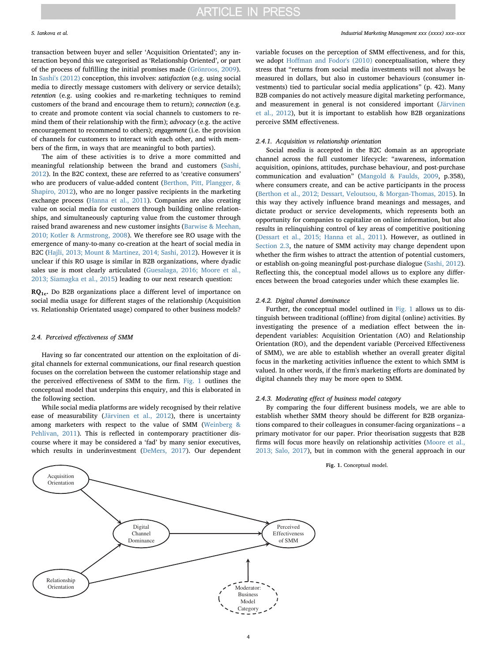transaction between buyer and seller 'Acquisition Orientated'; any interaction beyond this we categorised as 'Relationship Oriented', or part of the process of fulfilling the initial promises made [\(Grönroos, 2009](#page-9-27)). In [Sashi's \(2012\)](#page-10-4) conception, this involves: satisfaction (e.g. using social media to directly message customers with delivery or service details); retention (e.g. using cookies and re-marketing techniques to remind customers of the brand and encourage them to return); connection (e.g. to create and promote content via social channels to customers to remind them of their relationship with the firm); advocacy (e.g. the active encouragement to recommend to others); engagement (i.e. the provision of channels for customers to interact with each other, and with members of the firm, in ways that are meaningful to both parties).

The aim of these activities is to drive a more committed and meaningful relationship between the brand and customers [\(Sashi,](#page-10-4) [2012\)](#page-10-4). In the B2C context, these are referred to as 'creative consumers' who are producers of value-added content [\(Berthon, Pitt, Plangger, &](#page-9-28) [Shapiro, 2012\)](#page-9-28), who are no longer passive recipients in the marketing exchange process ([Hanna et al., 2011](#page-9-2)). Companies are also creating value on social media for customers through building online relationships, and simultaneously capturing value from the customer through raised brand awareness and new customer insights ([Barwise & Meehan,](#page-9-29) [2010; Kotler & Armstrong, 2008\)](#page-9-29). We therefore see RO usage with the emergence of many-to-many co-creation at the heart of social media in B2C [\(Hajli, 2013; Mount & Martinez, 2014; Sashi, 2012](#page-9-30)). However it is unclear if this RO usage is similar in B2B organizations, where dyadic sales use is most clearly articulated [\(Guesalaga, 2016; Moore et al.,](#page-9-5) [2013; Siamagka et al., 2015\)](#page-9-5) leading to our next research question:

RQ1c. Do B2B organizations place a different level of importance on social media usage for different stages of the relationship (Acquisition vs. Relationship Orientated usage) compared to other business models?

# 2.4. Perceived effectiveness of SMM

Having so far concentrated our attention on the exploitation of digital channels for external communications, our final research question focuses on the correlation between the customer relationship stage and the perceived effectiveness of SMM to the firm. [Fig. 1](#page-3-0) outlines the conceptual model that underpins this enquiry, and this is elaborated in the following section.

While social media platforms are widely recognised by their relative ease of measurability ([Järvinen et al., 2012](#page-9-12)), there is uncertainty among marketers with respect to the value of SMM ([Weinberg &](#page-10-14) [Pehlivan, 2011\)](#page-10-14). This is reflected in contemporary practitioner discourse where it may be considered a 'fad' by many senior executives, which results in underinvestment [\(DeMers, 2017](#page-9-31)). Our dependent

variable focuses on the perception of SMM effectiveness, and for this, we adopt Hoff[man and Fodor's \(2010\)](#page-9-32) conceptualisation, where they stress that "returns from social media investments will not always be measured in dollars, but also in customer behaviours (consumer investments) tied to particular social media applications" (p. 42). Many B2B companies do not actively measure digital marketing performance, and measurement in general is not considered important [\(Järvinen](#page-9-12) [et al., 2012](#page-9-12)), but it is important to establish how B2B organizations perceive SMM effectiveness.

# 2.4.1. Acquisition vs relationship orientation

Social media is accepted in the B2C domain as an appropriate channel across the full customer lifecycle: "awareness, information acquisition, opinions, attitudes, purchase behaviour, and post-purchase communication and evaluation" ([Mangold & Faulds, 2009](#page-10-15), p.358), where consumers create, and can be active participants in the process ([Berthon et al., 2012; Dessart, Veloutsou, & Morgan-Thomas, 2015\)](#page-9-28). In this way they actively influence brand meanings and messages, and dictate product or service developments, which represents both an opportunity for companies to capitalize on online information, but also results in relinquishing control of key areas of competitive positioning ([Dessart et al., 2015; Hanna et al., 2011](#page-9-33)). However, as outlined in [Section 2.3,](#page-2-0) the nature of SMM activity may change dependent upon whether the firm wishes to attract the attention of potential customers, or establish on-going meaningful post-purchase dialogue ([Sashi, 2012](#page-10-4)). Reflecting this, the conceptual model allows us to explore any differences between the broad categories under which these examples lie.

## 2.4.2. Digital channel dominance

Further, the conceptual model outlined in [Fig. 1](#page-3-0) allows us to distinguish between traditional (offline) from digital (online) activities. By investigating the presence of a mediation effect between the independent variables: Acquisition Orientation (AO) and Relationship Orientation (RO), and the dependent variable (Perceived Effectiveness of SMM), we are able to establish whether an overall greater digital focus in the marketing activities influence the extent to which SMM is valued. In other words, if the firm's marketing efforts are dominated by digital channels they may be more open to SMM.

# 2.4.3. Moderating effect of business model category

By comparing the four different business models, we are able to establish whether SMM theory should be different for B2B organizations compared to their colleagues in consumer-facing organizations – a primary motivator for our paper. Prior theorisation suggests that B2B firms will focus more heavily on relationship activities [\(Moore et al.,](#page-10-1) [2013; Salo, 2017\)](#page-10-1), but in common with the general approach in our

### Fig. 1. Conceptual model.

<span id="page-3-0"></span>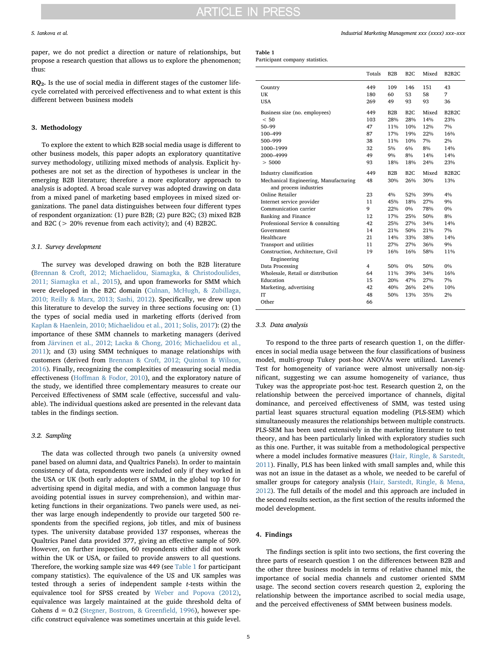paper, we do not predict a direction or nature of relationships, but propose a research question that allows us to explore the phenomenon; thus:

RQ2. Is the use of social media in different stages of the customer lifecycle correlated with perceived effectiveness and to what extent is this different between business models

# 3. Methodology

To explore the extent to which B2B social media usage is different to other business models, this paper adopts an exploratory quantitative survey methodology, utilizing mixed methods of analysis. Explicit hypotheses are not set as the direction of hypotheses is unclear in the emerging B2B literature; therefore a more exploratory approach to analysis is adopted. A broad scale survey was adopted drawing on data from a mixed panel of marketing based employees in mixed sized organizations. The panel data distinguishes between four different types of respondent organization: (1) pure B2B; (2) pure B2C; (3) mixed B2B and B2C (> 20% revenue from each activity); and (4) B2B2C.

# 3.1. Survey development

The survey was developed drawing on both the B2B literature ([Brennan & Croft, 2012; Michaelidou, Siamagka, & Christodoulides,](#page-9-34) [2011; Siamagka et al., 2015\)](#page-9-34), and upon frameworks for SMM which were developed in the B2C domain ([Culnan, McHugh, & Zubillaga,](#page-9-35) [2010; Reilly & Marx, 2013; Sashi, 2012](#page-9-35)). Specifically, we drew upon this literature to develop the survey in three sections focusing on: (1) the types of social media used in marketing efforts (derived from [Kaplan & Haenlein, 2010; Michaelidou et al., 2011; Solis, 2017\)](#page-9-3): (2) the importance of these SMM channels to marketing managers (derived from [Järvinen et al., 2012; Lacka & Chong, 2016; Michaelidou et al.,](#page-9-12) [2011\)](#page-9-12); and (3) using SMM techniques to manage relationships with customers (derived from [Brennan & Croft, 2012; Quinton & Wilson,](#page-9-34) [2016\)](#page-9-34). Finally, recognizing the complexities of measuring social media effectiveness (Hoff[man & Fodor, 2010](#page-9-32)), and the exploratory nature of the study, we identified three complementary measures to create our Perceived Effectiveness of SMM scale (effective, successful and valuable). The individual questions asked are presented in the relevant data tables in the findings section.

# 3.2. Sampling

The data was collected through two panels (a university owned panel based on alumni data, and Qualtrics Panels). In order to maintain consistency of data, respondents were included only if they worked in the USA or UK (both early adopters of SMM, in the global top 10 for advertising spend in digital media, and with a common language thus avoiding potential issues in survey comprehension), and within marketing functions in their organizations. Two panels were used, as neither was large enough independently to provide our targeted 500 respondents from the specified regions, job titles, and mix of business types. The university database provided 137 responses, whereas the Qualtrics Panel data provided 377, giving an effective sample of 509. However, on further inspection, 60 respondents either did not work within the UK or USA, or failed to provide answers to all questions. Therefore, the working sample size was 449 (see [Table 1](#page-4-0) for participant company statistics). The equivalence of the US and UK samples was tested through a series of independent sample t-tests within the equivalence tool for SPSS created by [Weber and Popova \(2012\)](#page-10-16), equivalence was largely maintained at the guide threshold delta of Cohens d = 0.2 [\(Stegner, Bostrom, & Green](#page-10-17)field, 1996), however specific construct equivalence was sometimes uncertain at this guide level.

# <span id="page-4-0"></span>Table 1

Participant company statistics.

|                                                  | Totals | B2B | B2C   | Mixed | <b>B2B2C</b> |
|--------------------------------------------------|--------|-----|-------|-------|--------------|
| Country                                          | 449    | 109 | 146   | 151   | 43           |
| UK                                               | 180    | 60  | 53    | 58    | 7            |
| <b>USA</b>                                       | 269    | 49  | 93    | 93    | 36           |
| Business size (no. employees)                    | 449    | B2B | B2C   | Mixed | <b>B2B2C</b> |
| < 50                                             | 103    | 28% | 28%   | 14%   | 23%          |
| $50 - 99$                                        | 47     | 11% | 10%   | 12%   | 7%           |
| 100-499                                          | 87     | 17% | 19%   | 22%   | 16%          |
| 500-999                                          | 38     | 11% | 10%   | 7%    | 2%           |
| 1000-1999                                        | 32     | 5%  | 6%    | 8%    | 14%          |
| 2000-4999                                        | 49     | 9%  | 8%    | 14%   | 14%          |
| > 5000                                           | 93     | 18% | 18%   | 24%   | 23%          |
| Industry classification                          | 449    | B2B | B2C   | Mixed | <b>B2B2C</b> |
| Mechanical Engineering, Manufacturing            | 48     | 30% | 26%   | 30%   | 13%          |
| and process industries                           |        |     |       |       |              |
| Online Retailer                                  | 23     | 4%  | 52%   | 39%   | 4%           |
| Internet service provider                        | 11     | 45% | 18%   | 27%   | 9%           |
| Communication carrier                            | 9      | 22% | $0\%$ | 78%   | 0%           |
| Banking and Finance                              | 12     | 17% | 25%   | 50%   | 8%           |
| Professional Service & consulting                | 42     | 25% | 27%   | 34%   | 14%          |
| Government                                       | 14     | 21% | 50%   | 21%   | 7%           |
| Healthcare                                       | 21     | 14% | 33%   | 38%   | 14%          |
| Transport and utilities                          | 11     | 27% | 27%   | 36%   | 9%           |
| Construction, Architecture, Civil<br>Engineering | 19     | 16% | 16%   | 58%   | 11%          |
| Data Processing                                  | 4      | 50% | $0\%$ | 50%   | $0\%$        |
| Wholesale, Retail or distribution                | 64     | 11% | 39%   | 34%   | 16%          |
| Education                                        | 15     | 20% | 47%   | 27%   | 7%           |
| Marketing, advertising                           | 42     | 40% | 26%   | 24%   | 10%          |
| <b>IT</b>                                        | 48     | 50% | 13%   | 35%   | 2%           |
| Other                                            | 66     |     |       |       |              |

### 3.3. Data analysis

To respond to the three parts of research question 1, on the differences in social media usage between the four classifications of business model, multi-group Tukey post-hoc ANOVAs were utilized. Lavene's Test for homogeneity of variance were almost universally non-significant, suggesting we can assume homogeneity of variance, thus Tukey was the appropriate post-hoc test. Research question 2, on the relationship between the perceived importance of channels, digital dominance, and perceived effectiveness of SMM, was tested using partial least squares structural equation modeling (PLS-SEM) which simultaneously measures the relationships between multiple constructs. PLS-SEM has been used extensively in the marketing literature to test theory, and has been particularly linked with exploratory studies such as this one. Further, it was suitable from a methodological perspective where a model includes formative measures [\(Hair, Ringle, & Sarstedt,](#page-9-36) [2011\)](#page-9-36). Finally, PLS has been linked with small samples and, while this was not an issue in the dataset as a whole, we needed to be careful of smaller groups for category analysis ([Hair, Sarstedt, Ringle, & Mena,](#page-9-37) [2012\)](#page-9-37). The full details of the model and this approach are included in the second results section, as the first section of the results informed the model development.

# 4. Findings

The findings section is split into two sections, the first covering the three parts of research question 1 on the differences between B2B and the other three business models in terms of relative channel mix, the importance of social media channels and customer oriented SMM usage. The second section covers research question 2, exploring the relationship between the importance ascribed to social media usage, and the perceived effectiveness of SMM between business models.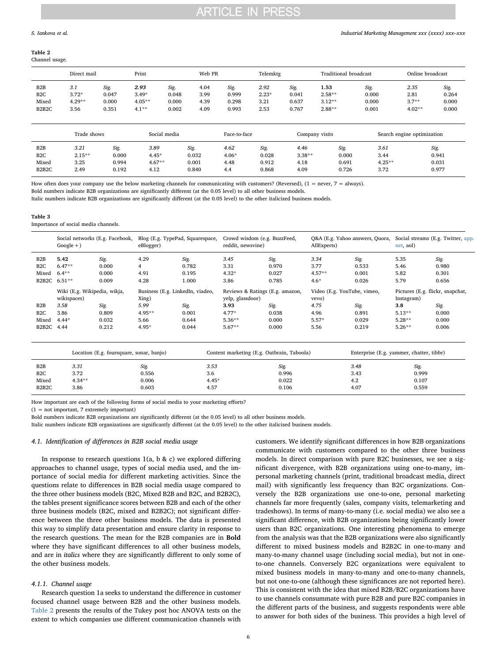#### <span id="page-5-0"></span>Table 2 Channel usage.

|                                                                     | Direct mail                        |                                 | Print                                  |                                 | Web PR                       |                                 | Telemktg                        |                                 | Traditional broadcast                    |                                 | Online broadcast                    |                                 |
|---------------------------------------------------------------------|------------------------------------|---------------------------------|----------------------------------------|---------------------------------|------------------------------|---------------------------------|---------------------------------|---------------------------------|------------------------------------------|---------------------------------|-------------------------------------|---------------------------------|
| B2B<br>B <sub>2</sub> C<br>Mixed<br>B <sub>2</sub> B <sub>2</sub> C | 3.1<br>$3.72*$<br>$4.29**$<br>3.56 | Sig.<br>0.047<br>0.000<br>0.351 | 2.93<br>$3.49*$<br>$4.05**$<br>$4.1**$ | Sig.<br>0.048<br>0.000<br>0.002 | 4.04<br>3.99<br>4.39<br>4.09 | Sig.<br>0.999<br>0.298<br>0.993 | 2.92<br>$2.23*$<br>3.21<br>2.53 | Sig.<br>0.041<br>0.637<br>0.767 | 1.53<br>$2.58**$<br>$3.12**$<br>$2.88**$ | Sig.<br>0.000<br>0.000<br>0.001 | 2.35<br>2.81<br>$3.7**$<br>$4.02**$ | Sig.<br>0.264<br>0.000<br>0.000 |
|                                                                     | Trade shows                        |                                 |                                        | Social media                    |                              | Face-to-face                    |                                 |                                 | Company visits                           |                                 | Search engine optimization          |                                 |

| B <sub>2</sub> B                | 3.21      | Sig.  | 3.89     | Sig.  | 4.62    | Sig.  | 4.46     | Sig.  | 3.61      | Sig.  |
|---------------------------------|-----------|-------|----------|-------|---------|-------|----------|-------|-----------|-------|
| B <sub>2</sub> C                | $2.15***$ | 0.000 | $4.45*$  | 0.032 | $4.06*$ | 0.028 | $3.38**$ | 0.000 | 3.44      | 0.941 |
| Mixed                           | 3.25      | 0.994 | $4.67**$ | 0.001 | 4.48    | 0.912 | 4.18     | 0.691 | $4.25***$ | 0.031 |
| B <sub>2</sub> B <sub>2</sub> C | 2.49      | 0.192 | 4.12     | 0.840 | 4.4     | 0.868 | 4.09     | 0.726 | 3.72      | 0.977 |

How often does your company use the below marketing channels for communicating with customers? (Reversed),  $(1 = never, 7 = always)$ .

Bold numbers indicate B2B organizations are significantly different (at the 0.05 level) to all other business models.

Italic numbers indicate B2B organizations are significantly different (at the 0.05 level) to the other italicized business models.

#### <span id="page-5-1"></span>Table 3

Importance of social media channels.

|                                 | $Google + )$                                | Social networks (E.g. Facebook,          | eBlogger)                                 | Blog (E.g. TypePad, Squarespace, | reddit, newsvine) | Crowd wisdom (e.g. BuzzFeed,                                            | AllExperts) | Q&A (E.g. Yahoo answers, Quora,                | net, aol) | Social streams (E.g. Twitter, app. |
|---------------------------------|---------------------------------------------|------------------------------------------|-------------------------------------------|----------------------------------|-------------------|-------------------------------------------------------------------------|-------------|------------------------------------------------|-----------|------------------------------------|
| B <sub>2</sub> B                | 5.42                                        | Sig.                                     | 4.29                                      | Sig.                             | 3.45              | Sig.                                                                    | 3.34        | Sig.                                           | 5.35      | Sig.                               |
| B <sub>2</sub> C                | $6.47**$                                    | 0.000                                    | 4                                         | 0.782                            | 3.31              | 0.970                                                                   | 3.77        | 0.533                                          | 5.46      | 0.980                              |
| Mixed                           | $6.4**$                                     | 0.000                                    | 4.91                                      | 0.195                            | $4.32*$           | 0.027                                                                   | $4.57**$    | 0.001                                          | 5.82      | 0.301                              |
| B2B2C                           | $6.51**$                                    | 0.009                                    | 4.28                                      | 1.000                            | 3.86              | 0.785                                                                   | $4.6*$      | 0.026                                          | 5.79      | 0.656                              |
|                                 | Wiki (E.g. Wikipedia, wikja,<br>wikispaces) |                                          | Business (E.g. LinkedIn, viadeo,<br>Xing) |                                  | yelp, glassdoor)  | Reviews & Ratings (E.g. amazon,<br>Video (E.g. YouTube, vimeo,<br>vevo) |             | Pictures (E.g. flickr, snapchat,<br>Instagram) |           |                                    |
| B2B                             | 3.58                                        | Sig.                                     | 5.99                                      | Sig.                             | 3.93              | Sig.                                                                    | 4.75        | Sig.                                           | 3.8       | Sig.                               |
| B <sub>2</sub> C                | 3.86                                        | 0.809                                    | 4.95**                                    | 0.001                            | $4.77*$           | 0.038                                                                   | 4.96        | 0.891                                          | $5.13**$  | 0.000                              |
| Mixed                           | $4.44*$                                     | 0.032                                    | 5.66                                      | 0.644                            | $5.36***$         | 0.000                                                                   | $5.57*$     | 0.029                                          | $5.28**$  | 0.000                              |
| B <sub>2</sub> B <sub>2</sub> C | 4.44                                        | 0.212                                    | 4.95*                                     | 0.044                            | $5.67**$          | 0.000                                                                   | 5.56        | 0.219                                          | $5.26**$  | 0.006                              |
|                                 |                                             | Location (E.g. foursquare, sonar, banjo) |                                           |                                  |                   | Content marketing (E.g. Outbrain, Taboola)                              |             | Enterprise (E.g. yammer, chatter, tibbr)       |           |                                    |
| B <sub>2</sub> B                | 3.31                                        |                                          | Sig.                                      | 3.53                             |                   | Sig.                                                                    |             | 3.48                                           | Sig.      |                                    |
| B <sub>2</sub> C                | 3.72                                        |                                          | 0.556                                     | 3.6                              |                   | 0.996                                                                   |             | 3.43                                           | 0.999     |                                    |
| Mixed                           | $4.34***$                                   |                                          | 0.006                                     | $4.45*$                          |                   | 0.022                                                                   |             | 4.2                                            | 0.107     |                                    |
| B <sub>2</sub> B <sub>2</sub> C | 3.86                                        |                                          | 0.603                                     | 4.57                             |                   | 0.106                                                                   |             | 4.07                                           | 0.559     |                                    |

How important are each of the following forms of social media to your marketing efforts?

 $(1 = not important, 7 extremely important)$ 

Bold numbers indicate B2B organizations are significantly different (at the 0.05 level) to all other business models.

Italic numbers indicate B2B organizations are significantly different (at the 0.05 level) to the other italicized business models.

# 4.1. Identification of differences in B2B social media usage

In response to research questions  $1(a, b & c)$  we explored differing approaches to channel usage, types of social media used, and the importance of social media for different marketing activities. Since the questions relate to differences in B2B social media usage compared to the three other business models (B2C, Mixed B2B and B2C, and B2B2C), the tables present significance scores between B2B and each of the other three business models (B2C, mixed and B2B2C); not significant difference between the three other business models. The data is presented this way to simplify data presentation and ensure clarity in response to the research questions. The mean for the B2B companies are in Bold where they have significant differences to all other business models, and are in italics where they are significantly different to only some of the other business models.

# 4.1.1. Channel usage

Research question 1a seeks to understand the difference in customer focused channel usage between B2B and the other business models. [Table 2](#page-5-0) presents the results of the Tukey post hoc ANOVA tests on the extent to which companies use different communication channels with

customers. We identify significant differences in how B2B organizations communicate with customers compared to the other three business models. In direct comparison with pure B2C businesses, we see a significant divergence, with B2B organizations using one-to-many, impersonal marketing channels (print, traditional broadcast media, direct mail) with significantly less frequency than B2C organizations. Conversely the B2B organizations use one-to-one, personal marketing channels far more frequently (sales, company visits, telemarketing and tradeshows). In terms of many-to-many (i.e. social media) we also see a significant difference, with B2B organizations being significantly lower users than B2C organizations. One interesting phenomena to emerge from the analysis was that the B2B organizations were also significantly different to mixed business models and B2B2C in one-to-many and many-to-many channel usage (including social media), but not in oneto-one channels. Conversely B2C organizations were equivalent to mixed business models in many-to-many and one-to-many channels, but not one-to-one (although these significances are not reported here). This is consistent with the idea that mixed B2B/B2C organizations have to use channels consummate with pure B2B and pure B2C companies in the different parts of the business, and suggests respondents were able to answer for both sides of the business. This provides a high level of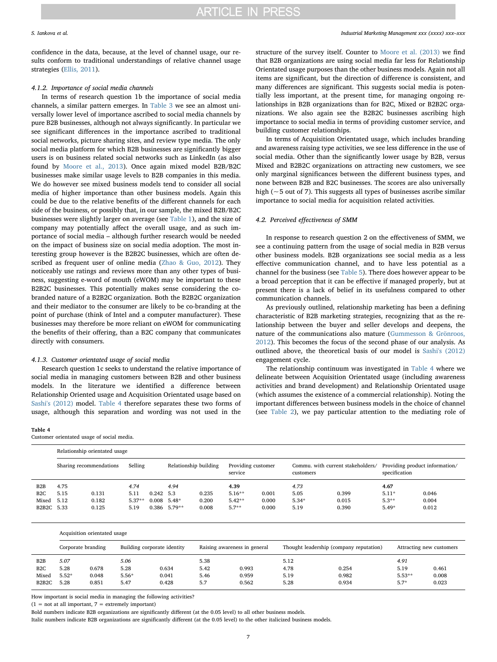# **ARTICLE IN PRESS**

confidence in the data, because, at the level of channel usage, our results conform to traditional understandings of relative channel usage strategies ([Ellis, 2011](#page-9-11)).

## 4.1.2. Importance of social media channels

In terms of research question 1b the importance of social media channels, a similar pattern emerges. In [Table 3](#page-5-1) we see an almost universally lower level of importance ascribed to social media channels by pure B2B businesses, although not always significantly. In particular we see significant differences in the importance ascribed to traditional social networks, picture sharing sites, and review type media. The only social media platform for which B2B businesses are significantly bigger users is on business related social networks such as LinkedIn (as also found by [Moore et al., 2013\)](#page-10-1). Once again mixed model B2B/B2C businesses make similar usage levels to B2B companies in this media. We do however see mixed business models tend to consider all social media of higher importance than other business models. Again this could be due to the relative benefits of the different channels for each side of the business, or possibly that, in our sample, the mixed B2B/B2C businesses were slightly larger on average (see [Table 1](#page-4-0)), and the size of company may potentially affect the overall usage, and as such importance of social media – although further research would be needed on the impact of business size on social media adoption. The most interesting group however is the B2B2C businesses, which are often described as frequent user of online media ([Zhao & Guo, 2012](#page-10-8)). They noticeably use ratings and reviews more than any other types of business, suggesting e-word of mouth (eWOM) may be important to these B2B2C businesses. This potentially makes sense considering the cobranded nature of a B2B2C organization. Both the B2B2C organization and their mediator to the consumer are likely to be co-branding at the point of purchase (think of Intel and a computer manufacturer). These businesses may therefore be more reliant on eWOM for communicating the benefits of their offering, than a B2C company that communicates directly with consumers.

# 4.1.3. Customer orientated usage of social media

Research question 1c seeks to understand the relative importance of social media in managing customers between B2B and other business models. In the literature we identified a difference between Relationship Oriented usage and Acquisition Orientated usage based on [Sashi's \(2012\)](#page-10-4) model. [Table 4](#page-6-0) therefore separates these two forms of usage, although this separation and wording was not used in the

#### <span id="page-6-0"></span>Table 4

Customer orientated usage of social media.

### S. Iankova et al. *Industrial Marketing Management xxx (xxxx) xxx–xxx*

structure of the survey itself. Counter to [Moore et al. \(2013\)](#page-10-1) we find that B2B organizations are using social media far less for Relationship Orientated usage purposes than the other business models. Again not all items are significant, but the direction of difference is consistent, and many differences are significant. This suggests social media is potentially less important, at the present time, for managing ongoing relationships in B2B organizations than for B2C, Mixed or B2B2C organizations. We also again see the B2B2C businesses ascribing high importance to social media in terms of providing customer service, and building customer relationships.

In terms of Acquisition Orientated usage, which includes branding and awareness raising type activities, we see less difference in the use of social media. Other than the significantly lower usage by B2B, versus Mixed and B2B2C organizations on attracting new customers, we see only marginal significances between the different business types, and none between B2B and B2C businesses. The scores are also universally high ( $\sim$  5 out of 7). This suggests all types of businesses ascribe similar importance to social media for acquisition related activities.

# 4.2. Perceived effectiveness of SMM

In response to research question 2 on the effectiveness of SMM, we see a continuing pattern from the usage of social media in B2B versus other business models. B2B organizations see social media as a less effective communication channel, and to have less potential as a channel for the business (see [Table 5\)](#page-7-0). There does however appear to be a broad perception that it can be effective if managed properly, but at present there is a lack of belief in its usefulness compared to other communication channels.

As previously outlined, relationship marketing has been a defining characteristic of B2B marketing strategies, recognizing that as the relationship between the buyer and seller develops and deepens, the nature of the communications also mature ([Gummesson & Grönroos,](#page-9-38) [2012\)](#page-9-38). This becomes the focus of the second phase of our analysis. As outlined above, the theoretical basis of our model is [Sashi's \(2012\)](#page-10-4) engagement cycle.

The relationship continuum was investigated in [Table 4](#page-6-0) where we delineate between Acquisition Orientated usage (including awareness activities and brand development) and Relationship Orientated usage (which assumes the existence of a commercial relationship). Noting the important differences between business models in the choice of channel (see [Table 2\)](#page-5-0), we pay particular attention to the mediating role of

|                                      |                         | Relationship orientated usage |          |             |                |                       |          |                               |         |                                                |         |                                                 |  |
|--------------------------------------|-------------------------|-------------------------------|----------|-------------|----------------|-----------------------|----------|-------------------------------|---------|------------------------------------------------|---------|-------------------------------------------------|--|
|                                      | Sharing recommendations |                               | Selling  |             |                | Relationship building |          | Providing customer<br>service |         | Commu. with current stakeholders/<br>customers |         | Providing product information/<br>specification |  |
| B <sub>2</sub> B                     | 4.75                    |                               | 4.74     |             | 4.94           |                       | 4.39     |                               | 4.73    |                                                | 4.67    |                                                 |  |
| B <sub>2</sub> C                     | 5.15                    | 0.131                         | 5.11     | $0.242$ 5.3 |                | 0.235                 | $5.16**$ | 0.001                         | 5.05    | 0.399                                          | $5.11*$ | 0.046                                           |  |
| Mixed                                | 5.12                    | 0.182                         | $5.37**$ |             | $0.008$ 5.48*  | 0.200                 | $5.42**$ | 0.000                         | $5.34*$ | 0.015                                          | $5.3**$ | 0.004                                           |  |
| B <sub>2</sub> B <sub>2</sub> C 5.33 |                         | 0.125                         | 5.19     |             | $0.386$ 5.79** | 0.008                 | $5.7**$  | 0.000                         | 5.19    | 0.390                                          | $5.49*$ | 0.012                                           |  |

|                                          | Acquisition orientated usage                      |                |                 |                              |              |                |                                         |                          |                    |                |  |  |  |
|------------------------------------------|---------------------------------------------------|----------------|-----------------|------------------------------|--------------|----------------|-----------------------------------------|--------------------------|--------------------|----------------|--|--|--|
|                                          | Building corporate identity<br>Corporate branding |                |                 | Raising awareness in general |              |                | Thought leadership (company reputation) | Attracting new customers |                    |                |  |  |  |
| B <sub>2</sub> B<br>B <sub>2</sub> C     | 5.07<br>5.28                                      | 0.678          | 5.06<br>5.28    | 0.634                        | 5.38<br>5.42 | 0.993          | 5.12<br>4.78                            | 0.254                    | 4.91<br>5.19       | 0.461          |  |  |  |
| Mixed<br>B <sub>2</sub> B <sub>2</sub> C | $5.52*$<br>5.28                                   | 0.048<br>0.851 | $5.56*$<br>5.47 | 0.041<br>0.428               | 5.46<br>5.7  | 0.959<br>0.562 | 5.19<br>5.28                            | 0.982<br>0.934           | $5.53**$<br>$5.7*$ | 0.008<br>0.023 |  |  |  |

How important is social media in managing the following activities?

 $(1 = not at all important, 7 = extremely important)$ 

Italic numbers indicate B2B organizations are significantly different (at the 0.05 level) to the other italicized business models.

Bold numbers indicate B2B organizations are significantly different (at the 0.05 level) to all other business models.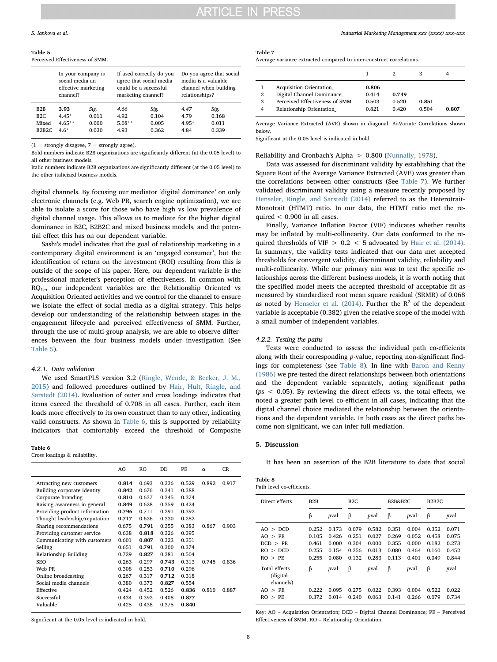<span id="page-7-0"></span>Table 5

|                                 | Perceived Effectiveness of SMM.                                          |       |                    |                                                                              |                                                                                            |       |  |  |  |  |  |  |
|---------------------------------|--------------------------------------------------------------------------|-------|--------------------|------------------------------------------------------------------------------|--------------------------------------------------------------------------------------------|-------|--|--|--|--|--|--|
|                                 | In your company is<br>social media an<br>effective marketing<br>channel? |       | marketing channel? | If used correctly do you<br>agree that social media<br>could be a successful | Do you agree that social<br>media is a valuable<br>channel when building<br>relationships? |       |  |  |  |  |  |  |
| B2B                             | 3.93                                                                     | Sig.  | 4.66               | Sig.                                                                         | 4.47                                                                                       | Sig.  |  |  |  |  |  |  |
| B2C                             | $4.45*$                                                                  | 0.011 | 4.92               | 0.104                                                                        | 4.79                                                                                       | 0.168 |  |  |  |  |  |  |
| Mixed                           | $4.65**$                                                                 | 0.000 | $5.08**$           | 0.005                                                                        | $4.95*$                                                                                    | 0.011 |  |  |  |  |  |  |
| B <sub>2</sub> B <sub>2</sub> C | $4.6*$                                                                   | 0.030 | 4.93               | 0.362                                                                        | 4.84                                                                                       | 0.339 |  |  |  |  |  |  |
|                                 |                                                                          |       |                    |                                                                              |                                                                                            |       |  |  |  |  |  |  |

 $(1 =$  strongly disagree,  $7 =$  strongly agree).

Bold numbers indicate B2B organizations are significantly different (at the 0.05 level) to all other business models.

Italic numbers indicate B2B organizations are significantly different (at the 0.05 level) to the other italicized business models.

digital channels. By focusing our mediator 'digital dominance' on only electronic channels (e.g. Web PR, search engine optimization), we are able to isolate a score for those who have high vs low prevalence of digital channel usage. This allows us to mediate for the higher digital dominance in B2C, B2B2C and mixed business models, and the potential effect this has on our dependent variable.

Sashi's model indicates that the goal of relationship marketing in a contemporary digital environment is an 'engaged consumer', but the identification of return on the investment (ROI) resulting from this is outside of the scope of his paper. Here, our dependent variable is the professional marketer's perception of effectiveness. In common with  $RQ_{1c}$ , our independent variables are the Relationship Oriented vs Acquisition Oriented activities and we control for the channel to ensure we isolate the effect of social media as a digital strategy. This helps develop our understanding of the relationship between stages in the engagement lifecycle and perceived effectiveness of SMM. Further, through the use of multi-group analysis, we are able to observe differences between the four business models under investigation (See [Table 5](#page-7-0)).

# 4.2.1. Data validation

We used SmartPLS version 3.2 ([Ringle, Wende, & Becker, J. M.,](#page-10-18) [2015\)](#page-10-18) and followed procedures outlined by [Hair, Hult, Ringle, and](#page-9-39) [Sarstedt \(2014\).](#page-9-39) Evaluation of outer and cross loadings indicates that items exceed the threshold of 0.708 in all cases. Further, each item loads more effectively to its own construct than to any other, indicating valid constructs. As shown in [Table 6](#page-7-1), this is supported by reliability indicators that comfortably exceed the threshold of Composite

#### <span id="page-7-1"></span>Table 6

Cross loadings & reliability.

|                               | AO    | RO.   | <b>DD</b> | PF.   | $\alpha$ | CR    |
|-------------------------------|-------|-------|-----------|-------|----------|-------|
| Attracting new customers      | 0.814 | 0.693 | 0.336     | 0.529 | 0.892    | 0.917 |
| Building corporate identity   | 0.842 | 0.676 | 0.341     | 0.388 |          |       |
| Corporate branding            | 0.810 | 0.637 | 0.345     | 0.374 |          |       |
| Raising awareness in general  | 0.849 | 0.628 | 0.359     | 0.424 |          |       |
| Providing product information | 0.796 | 0.711 | 0.291     | 0.392 |          |       |
| Thought leadership/reputation | 0.717 | 0.626 | 0.330     | 0.282 |          |       |
| Sharing recommendations       | 0.675 | 0.791 | 0.355     | 0.383 | 0.867    | 0.903 |
| Providing customer service    | 0.638 | 0.818 | 0.326     | 0.395 |          |       |
| Communicating with customers  | 0.601 | 0.807 | 0.323     | 0.351 |          |       |
| Selling                       | 0.651 | 0.791 | 0.300     | 0.374 |          |       |
| Relationship Building         | 0.729 | 0.827 | 0.381     | 0.504 |          |       |
| <b>SEO</b>                    | 0.263 | 0.297 | 0.743     | 0.313 | 0.745    | 0.836 |
| Web PR                        | 0.308 | 0.253 | 0.710     | 0.296 |          |       |
| Online broadcasting           | 0.267 | 0.317 | 0.712     | 0.318 |          |       |
| Social media channels         | 0.380 | 0.373 | 0.827     | 0.554 |          |       |
| Effective                     | 0.424 | 0.452 | 0.526     | 0.836 | 0.810    | 0.887 |
| Successful                    | 0.434 | 0.392 | 0.408     | 0.877 |          |       |
| Valuable                      | 0.425 | 0.438 | 0.375     | 0.840 |          |       |
|                               |       |       |           |       |          |       |

Significant at the 0.05 level is indicated in bold.

#### S. Iankova et al. *Industrial Marketing Management xxx (xxxx) xxx–xxx*

# <span id="page-7-2"></span>Table 7

Average variance extracted compared to inter-construct correlations.

| 2<br>3<br>4 | <b>Acquisition Orientation</b><br>Digital Channel Dominance<br>Perceived Effectiveness of SMM<br>Relationship Orientation | 0.806<br>0.414<br>0.503<br>0.821 | 0.749<br>0.520<br>0.420 | 0.851<br>0.504 | 0.807 |
|-------------|---------------------------------------------------------------------------------------------------------------------------|----------------------------------|-------------------------|----------------|-------|

Average Variance Extracted (AVE) shown in diagonal. Bi-Variate Correlations shown below.

Significant at the 0.05 level is indicated in bold.

# Reliability and Cronbach's Alpha > 0.800 [\(Nunnally, 1978](#page-10-19)).

Data was assessed for discriminant validity by establishing that the Square Root of the Average Variance Extracted (AVE) was greater than the correlations between other constructs (See [Table 7\)](#page-7-2). We further validated discriminant validity using a measure recently proposed by [Henseler, Ringle, and Sarstedt \(2014\)](#page-9-40) referred to as the Heterotrait-Monotrait (HTMT) ratio. In our data, the HTMT ratio met the required  $< 0.900$  in all cases.

Finally, Variance Inflation Factor (VIF) indicates whether results may be inflated by multi-collinearity. Our data conformed to the required thresholds of VIF  $> 0.2 < 5$  advocated by [Hair et al. \(2014\)](#page-9-39). In summary, the validity tests indicated that our data met accepted thresholds for convergent validity, discriminant validity, reliability and multi-collinearity. While our primary aim was to test the specific relationships across the different business models, it is worth noting that the specified model meets the accepted threshold of acceptable fit as measured by standardized root mean square residual (SRMR) of 0.068 as noted by [Henseler et al. \(2014\)](#page-9-40). Further the  $R^2$  of the dependent variable is acceptable (0.382) given the relative scope of the model with a small number of independent variables.

# 4.2.2. Testing the paths

Tests were conducted to assess the individual path co-efficients along with their corresponding p-value, reporting non-significant findings for completeness (see [Table 8\)](#page-7-3). In line with [Baron and Kenny](#page-9-41) [\(1986\)](#page-9-41) we pre-tested the direct relationships between both orientations and the dependent variable separately, noting significant paths ( $ps < 0.05$ ). By reviewing the direct effects vs. the total effects, we noted a greater path level co-efficient in all cases, indicating that the digital channel choice mediated the relationship between the orientations and the dependent variable. In both cases as the direct paths become non-significant, we can infer full mediation.

# 5. Discussion

It has been an assertion of the B2B literature to date that social

<span id="page-7-3"></span>

| Table 8 |                           |
|---------|---------------------------|
|         | Path level co-efficients. |

| Direct effects                                                           | B <sub>2</sub> B                          |                                           |                                           |                                           | <b>B2B&amp;B2C</b>                        |                                           | B2B2C                                     |                                           |
|--------------------------------------------------------------------------|-------------------------------------------|-------------------------------------------|-------------------------------------------|-------------------------------------------|-------------------------------------------|-------------------------------------------|-------------------------------------------|-------------------------------------------|
|                                                                          | β                                         | pval                                      | β                                         | pval                                      | β                                         | pval                                      | β                                         | pval                                      |
| <b>DCD</b><br>AO ><br>AO > PE<br>DCD > PE<br>RO > DCD<br>RO > PE         | 0.252<br>0.105<br>0.461<br>0.255<br>0.255 | 0.173<br>0.426<br>0.000<br>0.154<br>0.080 | 0.079<br>0.251<br>0.304<br>0.356<br>0.132 | 0.582<br>0.027<br>0.000<br>0.013<br>0.283 | 0.351<br>0.269<br>0.355<br>0.080<br>0.113 | 0.004<br>0.052<br>0.000<br>0.464<br>0.401 | 0.352<br>0.458<br>0.182<br>0.160<br>0.049 | 0.071<br>0.075<br>0.273<br>0.452<br>0.844 |
| Total effects<br>(digital<br>channels)<br>$>$ PE<br>AO.<br>RO.<br>$>$ PE | β<br>0.222<br>0.372                       | pval<br>0.095<br>0.014                    | β<br>0.275<br>0.240                       | pval<br>0.022<br>0.063                    | β<br>0.393<br>0.141                       | pval<br>0.004<br>0.266                    | β<br>0.522<br>0.079                       | pval<br>0.022<br>0.734                    |

Key: AO – Acquisition Orientation; DCD – Digital Channel Dominance; PE – Perceived Effectiveness of SMM; RO – Relationship Orientation.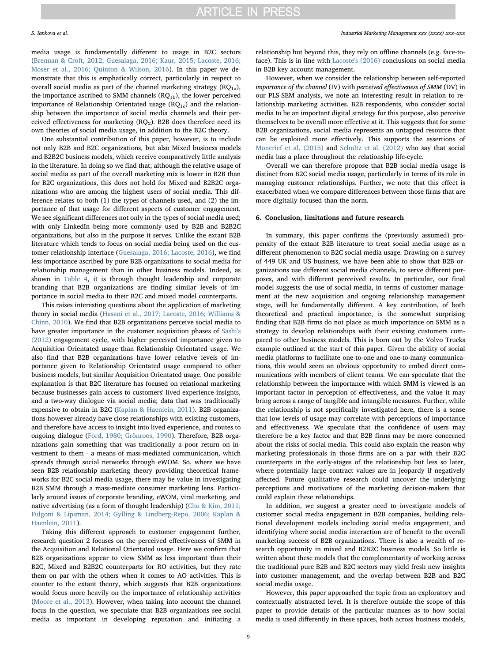media usage is fundamentally different to usage in B2C sectors ([Brennan & Croft, 2012; Guesalaga, 2016; Kaur, 2015; Lacoste, 2016;](#page-9-34) [Moser et al., 2016; Quinton & Wilson, 2016\)](#page-9-34). In this paper we demonstrate that this is emphatically correct, particularly in respect to overall social media as part of the channel marketing strategy  $(RQ_{1a})$ , the importance ascribed to SMM channels  $(RQ_{1b})$ , the lower perceived importance of Relationship Orientated usage  $(RQ_{1c})$  and the relationship between the importance of social media channels and their perceived effectiveness for marketing  $(RQ<sub>2</sub>)$ . B2B does therefore need its own theories of social media usage, in addition to the B2C theory.

One substantial contribution of this paper, however, is to include not only B2B and B2C organizations, but also Mixed business models and B2B2C business models, which receive comparatively little analysis in the literature. In doing so we find that; although the relative usage of social media as part of the overall marketing mix is lower in B2B than for B2C organizations, this does not hold for Mixed and B2B2C organizations who are among the highest users of social media. This difference relates to both (1) the types of channels used, and (2) the importance of that usage for different aspects of customer engagement. We see significant differences not only in the types of social media used; with only LinkedIn being more commonly used by B2B and B2B2C organizations, but also in the purpose it serves. Unlike the extant B2B literature which tends to focus on social media being used on the customer relationship interface ([Guesalaga, 2016; Lacoste, 2016](#page-9-5)), we find less importance ascribed by pure B2B organizations to social media for relationship management than in other business models. Indeed, as shown in [Table 4,](#page-6-0) it is through thought leadership and corporate branding that B2B organizations are finding similar levels of importance in social media to their B2C and mixed model counterparts.

This raises interesting questions about the application of marketing theory in social media ([Hasani et al., 2017; Lacoste, 2016; Williams &](#page-9-23) [Chinn, 2010](#page-9-23)). We find that B2B organizations perceive social media to have greater importance in the customer acquisition phases of [Sashi's](#page-10-4) [\(2012\)](#page-10-4) engagement cycle, with higher perceived importance given to Acquisition Orientated usage than Relationship Orientated usage. We also find that B2B organizations have lower relative levels of importance given to Relationship Orientated usage compared to other business models, but similar Acquisition Orientated usage. One possible explanation is that B2C literature has focused on relational marketing because businesses gain access to customers' lived experience insights, and a two-way dialogue via social media; data that was traditionally expensive to obtain in B2C [\(Kaplan & Haenlein, 2011\)](#page-9-42). B2B organizations however already have close relationships with existing customers, and therefore have access to insight into lived experience, and routes to ongoing dialogue [\(Ford, 1980; Grönroos, 1990\)](#page-9-43). Therefore, B2B organizations gain something that was traditionally a poor return on investment to them - a means of mass-mediated communication, which spreads through social networks through eWOM. So, where we have seen B2B relationship marketing theory providing theoretical frameworks for B2C social media usage, there may be value in investigating B2B SMM through a mass-mediate consumer marketing lens. Particularly around issues of corporate branding, eWOM, viral marketing, and native advertising (as a form of thought leadership) [\(Chu & Kim, 2011;](#page-9-44) [Fulgoni & Lipsman, 2014; Gylling & Lindberg-Repo, 2006; Kaplan &](#page-9-44) [Haenlein, 2011](#page-9-44)).

Taking this different approach to customer engagement further, research question 2 focuses on the perceived effectiveness of SMM in the Acquisition and Relational Orientated usage. Here we confirm that B2B organizations appear to view SMM as less important than their B2C, Mixed and B2B2C counterparts for RO activities, but they rate them on par with the others when it comes to AO activities. This is counter to the extant theory, which suggests that B2B organizations would focus more heavily on the importance of relationship activities ([Moore et al., 2013](#page-10-1)). However, when taking into account the channel focus in the question, we speculate that B2B organizations see social media as important in developing reputation and initiating a relationship but beyond this, they rely on offline channels (e.g. face-toface). This is in line with [Lacoste's \(2016\)](#page-9-17) conclusions on social media in B2B key account management.

However, when we consider the relationship between self-reported importance of the channel (IV) with perceived effectiveness of SMM (DV) in our PLS-SEM analysis, we note an interesting result in relation to relationship marketing activities. B2B respondents, who consider social media to be an important digital strategy for this purpose, also perceive themselves to be overall more effective at it. This suggests that for some B2B organizations, social media represents an untapped resource that can be exploited more effectively. This supports the assertions of [Moncrief et al. \(2015\)](#page-10-20) and [Schultz et al. \(2012\)](#page-10-21) who say that social media has a place throughout the relationship life-cycle.

Overall we can therefore propose that B2B social media usage is distinct from B2C social media usage, particularly in terms of its role in managing customer relationships. Further, we note that this effect is exacerbated when we compare differences between those firms that are more digitally focused than the norm.

### 6. Conclusion, limitations and future research

In summary, this paper confirms the (previously assumed) propensity of the extant B2B literature to treat social media usage as a different phenomenon to B2C social media usage. Drawing on a survey of 449 UK and US business, we have been able to show that B2B organizations use different social media channels, to serve different purposes, and with different perceived results. In particular, our final model suggests the use of social media, in terms of customer management at the new acquisition and ongoing relationship management stage, will be fundamentally different. A key contribution, of both theoretical and practical importance, is the somewhat surprising finding that B2B firms do not place as much importance on SMM as a strategy to develop relationships with their existing customers compared to other business models. This is born out by the Volvo Trucks example outlined at the start of this paper. Given the ability of social media platforms to facilitate one-to-one and one-to-many communications, this would seem an obvious opportunity to embed direct communications with members of client teams. We can speculate that the relationship between the importance with which SMM is viewed is an important factor in perception of effectiveness, and the value it may bring across a range of tangible and intangible measures. Further, while the relationship is not specifically investigated here, there is a sense that low levels of usage may correlate with perceptions of importance and effectiveness. We speculate that the confidence of users may therefore be a key factor and that B2B firms may be more concerned about the risks of social media. This could also explain the reason why marketing professionals in those firms are on a par with their B2C counterparts in the early-stages of the relationship but less so later, where potentially large contract values are in jeopardy if negatively affected. Future qualitative research could uncover the underlying perceptions and motivations of the marketing decision-makers that could explain these relationships.

In addition, we suggest a greater need to investigate models of customer social media engagement in B2B companies, building relational development models including social media engagement, and identifying where social media interaction are of benefit to the overall marketing success of B2B organizations. There is also a wealth of research opportunity in mixed and B2B2C business models. So little is written about these models that the complementarity of working across the traditional pure B2B and B2C sectors may yield fresh new insights into customer management, and the overlap between B2B and B2C social media usage.

However, this paper approached the topic from an exploratory and contextually abstracted level. It is therefore outside the scope of this paper to provide details of the particular nuances as to how social media is used differently in these spaces, both across business models,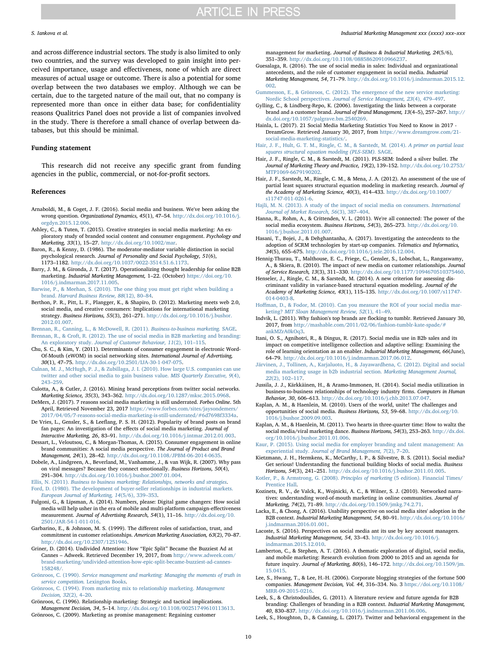and across difference industrial sectors. The study is also limited to only two countries, and the survey was developed to gain insight into perceived importance, usage and effectiveness, none of which are direct measures of actual usage or outcome. There is also a potential for some overlap between the two databases we employ. Although we can be certain, due to the targeted nature of the mail out, that no company is represented more than once in either data base; for confidentiality reasons Qualitrics Panel does not provide a list of companies involved in the study. There is therefore a small chance of overlap between databases, but this should be minimal.

# Funding statement

This research did not receive any specific grant from funding agencies in the public, commercial, or not-for-profit sectors.

#### References

- <span id="page-9-16"></span>Arnaboldi, M., & Coget, J. F. (2016). Social media and business. We've been asking the wrong question. Organizational Dynamics, 45(1), 47–54. [http://dx.doi.org/10.1016/j.](http://dx.doi.org/10.1016/j.orgdyn.2015.12.006) [orgdyn.2015.12.006](http://dx.doi.org/10.1016/j.orgdyn.2015.12.006).
- <span id="page-9-8"></span>Ashley, C., & Tuten, T. (2015). Creative strategies in social media marketing: An exploratory study of branded social content and consumer engagement. Psychology and Marketing, 33(1), 15–27. <http://dx.doi.org/10.1002/mar>.
- <span id="page-9-41"></span>Baron, R., & Kenny, D. (1986). The moderator-mediator variable distinction in social psychological research. Journal of Personality and Social Psychology, 51(6), 1173–1182. [http://dx.doi.org/10.1037/0022-3514.51.6.1173.](http://dx.doi.org/10.1037/0022-3514.51.6.1173)
- <span id="page-9-24"></span>Barry, J. M., & Gironda, J. T. (2017). Operationalizing thought leadership for online B2B marketing. Industrial Marketing Management, 1-22. (October) [https://doi.org/10.](https://doi.org/10.1016/j.indmarman.2017.11.005) [1016/j.indmarman.2017.11.005.](https://doi.org/10.1016/j.indmarman.2017.11.005)
- <span id="page-9-29"></span>[Barwise, P., & Meehan, S. \(2010\). The one thing you must get right when building a](http://refhub.elsevier.com/S0019-8501(17)30111-6/rf0025) brand. [Harvard Business Review, 88](http://refhub.elsevier.com/S0019-8501(17)30111-6/rf0025)(12), 80–84.
- <span id="page-9-28"></span>Berthon, P. R., Pitt, L. F., Plangger, K., & Shapiro, D. (2012). Marketing meets web 2.0, social media, and creative consumers: Implications for international marketing strategy. Business Horizons, 55(3), 261–271. [http://dx.doi.org/10.1016/j.bushor.](http://dx.doi.org/10.1016/j.bushor.2012.01.007) [2012.01.007](http://dx.doi.org/10.1016/j.bushor.2012.01.007).
- <span id="page-9-34"></span><span id="page-9-20"></span>[Brennan, R., Canning, L., & McDowell, R. \(2011\).](http://refhub.elsevier.com/S0019-8501(17)30111-6/rf0035) Business-to-business marketing. SAGE. [Brennan, R., & Croft, R. \(2012\). The use of social media in B2B marketing and branding:](http://refhub.elsevier.com/S0019-8501(17)30111-6/rf0420) An exploratory study. [Journal of Customer Behaviour, 11](http://refhub.elsevier.com/S0019-8501(17)30111-6/rf0420)(2), 101–115.
- <span id="page-9-44"></span>Chu, S. C., & Kim, Y. (2011). Determinants of consumer engagement in electronic Word-Of-Mouth (eWOM) in social networking sites. International Journal of Advertising, 30(1), 47–75. <http://dx.doi.org/10.2501/IJA-30-1-047-075>.
- <span id="page-9-35"></span>[Culnan, M. J., McHugh, P. J., & Zubillaga, J. I. \(2010\). How large U.S. companies can use](http://refhub.elsevier.com/S0019-8501(17)30111-6/rf0045) [twitter and other social media to gain business value.](http://refhub.elsevier.com/S0019-8501(17)30111-6/rf0045) MIS Quarterly Executive, 9(4), 243–[259](http://refhub.elsevier.com/S0019-8501(17)30111-6/rf0045).
- <span id="page-9-14"></span>Culotta, A., & Cutler, J. (2016). Mining brand perceptions from twitter social networks. Marketing Science, 35(3), 343–362. [http://dx.doi.org/10.1287/mksc.2015.0968.](http://dx.doi.org/10.1287/mksc.2015.0968)
- <span id="page-9-31"></span>DeMers, J. (2017). 7 reasons social media marketing is still underrated. Forbes Online. 5th April, Retrieved November 23, 2017 [https://www.forbes.com/sites/jaysondemers/](https://www.forbes.com/sites/jaysondemers/2017/04/05/7-reasons-social-media-marketing-is-still-underrated/#6d7698f3334a) [2017/04/05/7-reasons-social-media-marketing-is-still-underrated/#6d7698f3334a.](https://www.forbes.com/sites/jaysondemers/2017/04/05/7-reasons-social-media-marketing-is-still-underrated/#6d7698f3334a)
- <span id="page-9-26"></span>De Vries, L., Gensler, S., & Leeflang, P. S. H. (2012). Popularity of brand posts on brand fan pages: An investigation of the effects of social media marketing. Journal of Interactive Marketing, 26, 83–91. [http://dx.doi.org/10.1016/j.intmar.2012.01.003.](http://dx.doi.org/10.1016/j.intmar.2012.01.003)
- <span id="page-9-33"></span>Dessart, L., Veloutsou, C., & Morgan-Thomas, A. (2015). Consumer engagement in online brand communities: A social media perspective. The Journal of Product and Brand Management, 24(1), 28–42. [http://dx.doi.org/10.1108/JPBM-06-2014-0635.](http://dx.doi.org/10.1108/JPBM-06-2014-0635)
- <span id="page-9-0"></span>Dobele, A., Lindgreen, A., Beverland, M., Vanhamme, J., & van Wijk, R. (2007). Why pass on viral messages? Because they connect emotionally. Business Horizons, 50(4), 291–304. [http://dx.doi.org/10.1016/j.bushor.2007.01.004.](http://dx.doi.org/10.1016/j.bushor.2007.01.004)

<span id="page-9-43"></span><span id="page-9-11"></span>Ellis, N. (2011). [Business to business marketing: Relationships, networks and strategies](http://refhub.elsevier.com/S0019-8501(17)30111-6/rf0070). [Ford, D. \(1980\). The development of buyer-seller relationships in industrial markets.](http://refhub.elsevier.com/S0019-8501(17)30111-6/rf0075) [European Journal of Marketing, 14](http://refhub.elsevier.com/S0019-8501(17)30111-6/rf0075)(5/6), 339–353.

- Fulgoni, G., & Lipsman, A. (2014). Numbers, please: Digital game changers: How social media will help usher in the era of mobile and multi-platform campaign-effectiveness measurement. Journal of Advertising Research, 54(1), 11–16. [http://dx.doi.org/10.](http://dx.doi.org/10.2501/JAR-54-1-011-016) [2501/JAR-54-1-011-016](http://dx.doi.org/10.2501/JAR-54-1-011-016).
- <span id="page-9-22"></span>Garbarino, E., & Johnson, M. S. (1999). The different roles of satisfaction, trust, and commitment in customer relationships. American Marketing Association, 63(2), 70–87. [http://dx.doi.org/10.2307/1251946.](http://dx.doi.org/10.2307/1251946)
- <span id="page-9-1"></span>Griner, D. (2014). Undivided Attention: How "Epic Split" Became the Buzziest Ad at Cannes – Adweek. Retrieved December 19, 2017, from [http://www.adweek.com/](http://www.adweek.com/brand-marketing/undivided-attention-how-epic-split-became-buzziest-ad-cannes-158248/) [brand-marketing/undivided-attention-how-epic-split-became-buzziest-ad-cannes-](http://www.adweek.com/brand-marketing/undivided-attention-how-epic-split-became-buzziest-ad-cannes-158248/)[158248/.](http://www.adweek.com/brand-marketing/undivided-attention-how-epic-split-became-buzziest-ad-cannes-158248/)
- Grönroos, C. (1990). [Service management and marketing: Managing the moments of truth in](http://refhub.elsevier.com/S0019-8501(17)30111-6/rf0090) [service competition.](http://refhub.elsevier.com/S0019-8501(17)30111-6/rf0090) Lexington Books.
- <span id="page-9-21"></span>[Grönroos, C. \(1994\). From marketing mix to relationship marketing.](http://refhub.elsevier.com/S0019-8501(17)30111-6/rf0095) Management [Decision, 32](http://refhub.elsevier.com/S0019-8501(17)30111-6/rf0095)(2), 4–20.

<span id="page-9-27"></span>Grönroos, C. (1996). Relationship marketing: Strategic and tactical implications. Management Decision, 34, 5–14. [http://dx.doi.org/10.1108/00251749610113613.](http://dx.doi.org/10.1108/00251749610113613) Grönroos, C. (2009). Marketing as promise management: Regaining customer

#### S. Iankova et al. *Industrial Marketing Management xxx (xxxx) xxx–xxx*

management for marketing. Journal of Business & Industrial Marketing, 24(5/6), 351–359. <http://dx.doi.org/10.1108/08858620910966237>.

- <span id="page-9-5"></span>Guesalaga, R. (2016). The use of social media in sales: Individual and organizational antecedents, and the role of customer engagement in social media. Industrial Marketing Management, 54, 71–79. [http://dx.doi.org/10.1016/j.indmarman.2015.12.](http://dx.doi.org/10.1016/j.indmarman.2015.12.002) [002](http://dx.doi.org/10.1016/j.indmarman.2015.12.002).
- <span id="page-9-38"></span>Gummesson, [E., & Grönroos, C. \(2012\). The emergence of the new service marketing:](http://refhub.elsevier.com/S0019-8501(17)30111-6/rf0115) Nordic School perspectives. [Journal of Service Management, 23](http://refhub.elsevier.com/S0019-8501(17)30111-6/rf0115)(4), 479–497.
- Gylling, C., & Lindberg-Repo, K. (2006). Investigating the links between a corporate brand and a customer brand. Journal of Brand Management, 13(4–5), 257–267. [http://](http://dx.doi.org/10.1057/palgrave.bm.2540269) [dx.doi.org/10.1057/palgrave.bm.2540269.](http://dx.doi.org/10.1057/palgrave.bm.2540269)
- <span id="page-9-7"></span>Hainla, L. (2017). 21 Social Media Marketing Statistics You Need to Know in 2017 - DreamGrow. Retrieved January 30, 2017, from [https://www.dreamgrow.com/21](https://www.dreamgrow.com/21-social-media-marketing-statistics/) [social-media-marketing-statistics/](https://www.dreamgrow.com/21-social-media-marketing-statistics/).
- <span id="page-9-39"></span>[Hair, J. F., Hult, G. T. M., Ringle, C. M., & Sarstedt, M. \(2014\).](http://refhub.elsevier.com/S0019-8501(17)30111-6/rf0130) A primer on partial least [squares structural equation modeling \(PLS-SEM\).](http://refhub.elsevier.com/S0019-8501(17)30111-6/rf0130) SAGE.
- <span id="page-9-36"></span>Hair, J. F., Ringle, C. M., & Sarstedt, M. (2011). PLS-SEM: Indeed a silver bullet. The Journal of Marketing Theory and Practice, 19(2), 139–152. [http://dx.doi.org/10.2753/](http://dx.doi.org/10.2753/MTP1069-6679190202) [MTP1069-6679190202.](http://dx.doi.org/10.2753/MTP1069-6679190202)
- <span id="page-9-37"></span>Hair, J. F., Sarstedt, M., Ringle, C. M., & Mena, J. A. (2012). An assessment of the use of partial least squares structural equation modeling in marketing research. Journal of the Academy of Marketing Science, 40(3), 414–433. [http://dx.doi.org/10.1007/](http://dx.doi.org/10.1007/s11747-011-0261-6) [s11747-011-0261-6.](http://dx.doi.org/10.1007/s11747-011-0261-6)
- <span id="page-9-30"></span>[Hajli, M. N. \(2013\). A study of the impact of social media on consumers.](http://refhub.elsevier.com/S0019-8501(17)30111-6/rf0145) International [Journal of Market Research, 56](http://refhub.elsevier.com/S0019-8501(17)30111-6/rf0145)(3), 387–404.
- <span id="page-9-2"></span>Hanna, R., Rohm, A., & Crittenden, V. L. (2011). We're all connected: The power of the social media ecosystem. Business Horizons, 54(3), 265–273. [http://dx.doi.org/10.](http://dx.doi.org/10.1016/j.bushor.2011.01.007) [1016/j.bushor.2011.01.007.](http://dx.doi.org/10.1016/j.bushor.2011.01.007)
- <span id="page-9-23"></span>Hasani, T., Bojei, J., & Dehghantanha, A. (2017). Investigating the antecedents to the adoption of SCRM technologies by start-up companies. Telematics and Informatics, 34(5), 655–675. <http://dx.doi.org/10.1016/j.tele.2016.12.004>.
- Hennig-Thurau, T., Malthouse, E. C., Friege, C., Gensler, S., Lobschat, L., Rangaswamy, A., & Skiera, B. (2010). The impact of new media on customer relationships. Journal of Service Research, 13(3), 311–330. [http://dx.doi.org/10.1177/1094670510375460.](http://dx.doi.org/10.1177/1094670510375460)
- <span id="page-9-40"></span>Henseler, J., Ringle, C. M., & Sarstedt, M. (2014). A new criterion for assessing discriminant validity in variance-based structural equation modeling. Journal of the Academy of Marketing Science, 43(1), 115–135. [http://dx.doi.org/10.1007/s11747-](http://dx.doi.org/10.1007/s11747-014-0403-8) [014-0403-8](http://dx.doi.org/10.1007/s11747-014-0403-8).
- <span id="page-9-32"></span>Hoff[man, D., & Fodor, M. \(2010\). Can you measure the ROI of your social media mar](http://refhub.elsevier.com/S0019-8501(17)30111-6/rf0170)keting? [MIT Sloan Management Review, 52](http://refhub.elsevier.com/S0019-8501(17)30111-6/rf0170)(1), 41–49.
- <span id="page-9-15"></span>Indvik, L. (2011). Why fashion's top brands are flocking to tumblr. Retrieved January 30, 2017, from [http://mashable.com/2011/02/06/fashion-tumblr-kate-spade/#](http://mashable.com/2011/02/06/fashion-tumblr-kate-spade/#ankMZrA0kOq3) [ankMZrA0kOq3.](http://mashable.com/2011/02/06/fashion-tumblr-kate-spade/#ankMZrA0kOq3)
- <span id="page-9-4"></span>Itani, O. S., Agnihotri, R., & Dingus, R. (2017). Social media use in B2b sales and its impact on competitive intelligence collection and adaptive selling: Examining the role of learning orientation as an enabler. Industrial Marketing Management, 66(June), 64–79. [http://dx.doi.org/10.1016/j.indmarman.2017.06.012.](http://dx.doi.org/10.1016/j.indmarman.2017.06.012)
- <span id="page-9-12"></span>[Järvinen, J., Tollinen, A., Karjaluoto, H., & Jayawardhena, C. \(2012\). Digital and social](http://refhub.elsevier.com/S0019-8501(17)30111-6/rf0185) [media marketing usage in b2b industrial section.](http://refhub.elsevier.com/S0019-8501(17)30111-6/rf0185) Marketing Management Journal, 22[\(2\), 102](http://refhub.elsevier.com/S0019-8501(17)30111-6/rf0185)–117.
- <span id="page-9-19"></span>Jussila, J. J., Kärkkäinen, H., & Aramo-Immonen, H. (2014). Social media utilization in business-to-business relationships of technology industry firms. Computers in Human Behavior, 30, 606–613. [http://dx.doi.org/10.1016/j.chb.2013.07.047.](http://dx.doi.org/10.1016/j.chb.2013.07.047)
- <span id="page-9-3"></span>Kaplan, A. M., & Haenlein, M. (2010). Users of the world, unite! The challenges and opportunities of social media. Business Horizons, 53, 59–68. [http://dx.doi.org/10.](http://dx.doi.org/10.1016/j.bushor.2009.09.003) [1016/j.bushor.2009.09.003.](http://dx.doi.org/10.1016/j.bushor.2009.09.003)
- <span id="page-9-42"></span>Kaplan, A. M., & Haenlein, M. (2011). Two hearts in three-quarter time: How to waltz the social media/viral marketing dance. Business Horizons, 54(3), 253–263. [http://dx.doi.](http://dx.doi.org/10.1016/j.bushor.2011.01.006) [org/10.1016/j.bushor.2011.01.006](http://dx.doi.org/10.1016/j.bushor.2011.01.006).
- <span id="page-9-18"></span>[Kaur, P. \(2015\). Using social media for employer branding and talent management: An](http://refhub.elsevier.com/S0019-8501(17)30111-6/rf0205) experiential study. [Journal of Brand Management, 7](http://refhub.elsevier.com/S0019-8501(17)30111-6/rf0205)(2), 7–20.
- <span id="page-9-10"></span>Kietzmann, J. H., Hermkens, K., McCarthy, I. P., & Silvestre, B. S. (2011). Social media? Get serious! Understanding the functional building blocks of social media. Business Horizons, 54(3), 241–251. [http://dx.doi.org/10.1016/j.bushor.2011.01.005.](http://dx.doi.org/10.1016/j.bushor.2011.01.005)
- [Kotler, P., & Armstrong, G. \(2008\).](http://refhub.elsevier.com/S0019-8501(17)30111-6/rf0215) Principles of marketing (5 edition). Financial Times/ [Prentice Hall.](http://refhub.elsevier.com/S0019-8501(17)30111-6/rf0215)
- Kozinets, R. V., de Valck, K., Wojnicki, A. C., & Wilner, S. J. (2010). Networked narratives: understanding word-of-mouth marketing in online communities. Journal of Marketing, 74(2), 71–89. [http://dx.doi.org/10.1509/jmkg.74.2.71.](http://dx.doi.org/10.1509/jmkg.74.2.71)
- <span id="page-9-9"></span>Lacka, E., & Chong, A. (2016). Usability perspective on social media sites' adoption in the B2B context. Industrial Marketing Management, 54, 80–91. [http://dx.doi.org/10.1016/](http://dx.doi.org/10.1016/j.indmarman.2016.01.001) [j.indmarman.2016.01.001](http://dx.doi.org/10.1016/j.indmarman.2016.01.001).
- <span id="page-9-17"></span>Lacoste, S. (2016). Perspectives on social media ant its use by key account managers. Industrial Marketing Management, 54, 33–43. [http://dx.doi.org/10.1016/j.](http://dx.doi.org/10.1016/j.indmarman.2015.12.010) [indmarman.2015.12.010.](http://dx.doi.org/10.1016/j.indmarman.2015.12.010)
- <span id="page-9-6"></span>Lamberton, C., & Stephen, A. T. (2016). A thematic exploration of digital, social media, and mobile marketing: Research evolution from 2000 to 2015 and an agenda for future inquiry. Journal of Marketing, 80(6), 146–172. [http://dx.doi.org/10.1509/jm.](http://dx.doi.org/10.1509/jm.15.0415) [15.0415.](http://dx.doi.org/10.1509/jm.15.0415)
- Lee, S., Hwang, T., & Lee, H.-H. (2006). Corporate blogging strategies of the fortune 500 companies. Management Decision, Vol. 44, 316–334. No. 3 [https://doi.org/10.1108/](https://doi.org/10.1108/MRR-09-2015-0216) [MRR-09-2015-0216](https://doi.org/10.1108/MRR-09-2015-0216).
- <span id="page-9-13"></span>Leek, S., & Christodoulides, G. (2011). A literature review and future agenda for B2B branding: Challenges of branding in a B2B context. Industrial Marketing Management, 40, 830–837. [http://dx.doi.org/10.1016/j.indmarman.2011.06.006.](http://dx.doi.org/10.1016/j.indmarman.2011.06.006)
- <span id="page-9-25"></span>Leek, S., Houghton, D., & Canning, L. (2017). Twitter and behavioral engagement in the